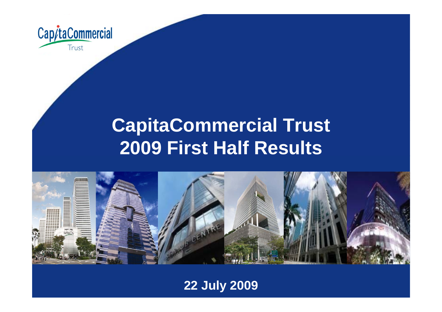

# **CapitaCommercial Trust 2009 First Half Results**



### **22 July 2009**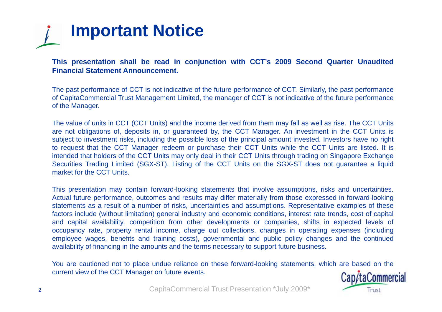

This presentation shall be read in conjunction with CCT's 2009 Second Quarter Unaudited **Financial Statement Announcement.**

The past performance of CCT is not indicative of the future performance of CCT. Similarly, the past performance of CapitaCommercial Trust Management Limited, the manager of CCT is not indicative of the future performance of the Manager.

The value of units in CCT (CCT Units) and the income derived from them may fall as well as rise. The CCT Units are not obligations of, deposits in, or guaranteed by, the CCT Manager. An investment in the CCT Units is subject to investment risks, including the possible loss of the principal amount invested. Investors have no right to request that the CCT Manager redeem or purchase their CCT Units while the CCT Units are listed. It is intended that holders of the CCT Units may only deal in their CCT Units through trading on Singapore Exchange Securities Trading Limited (SGX-ST). Listing of the CCT Units on the SGX-ST does not guarantee <sup>a</sup> liquid market for the CCT Units.

This presentation may contain forward-looking statements that involve assumptions, risks and uncertainties. Actual future performance, outcomes and results may differ materially from those expressed in forward-looking statements as <sup>a</sup> result of <sup>a</sup> number of risks, uncertainties and assumptions. Representative examples of these factors include (without limitation) general industry and economic conditions, interest rate trends, cost of capital and capital availability, competition from other developments or companies, shifts in expected levels of occupancy rate, property rental income, charge out collections, changes in operating expenses (including employee wages, benefits and training costs), governmental and public policy changes and the continued availability of financing in the amounts and the terms necessary to support future business.

You are cautioned not to place undue reliance on these forward-looking statements, which are based on the current view of the CCT Manager on future events.

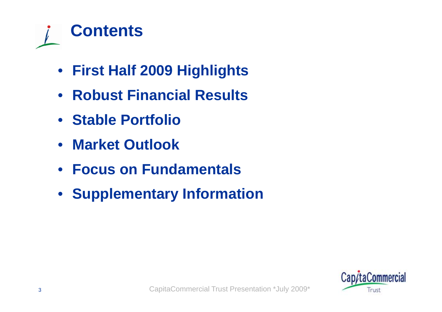

- **First Half 2009 Highlights**
- $\bullet$ **Robust Financial Results**
- **Stable Portfolio**
- $\bullet$ **Market Outlook**
- $\bullet$ **Focus on Fundamentals**
- **Supplementary Information**

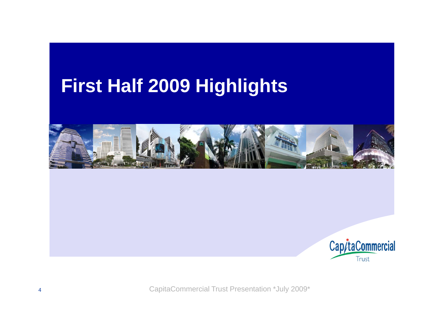# **First Half 2009 Highlights**



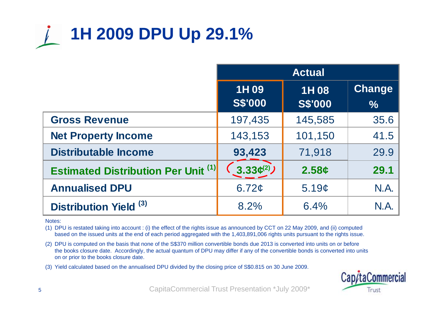

|                                            | <b>Actual</b>                                                                      |         |      |  |  |
|--------------------------------------------|------------------------------------------------------------------------------------|---------|------|--|--|
|                                            | Change<br>1H 09<br>1H08<br><b>S\$'000</b><br><b>S\$'000</b><br>$\sqrt[6]{\bullet}$ |         |      |  |  |
| <b>Gross Revenue</b>                       | 197,435                                                                            | 145,585 | 35.6 |  |  |
| <b>Net Property Income</b>                 | 143,153                                                                            | 101,150 | 41.5 |  |  |
| <b>Distributable Income</b>                | 93,423                                                                             | 71,918  | 29.9 |  |  |
| <b>Estimated Distribution Per Unit (1)</b> | 3.33(2)                                                                            | 2.58c   | 29.1 |  |  |
| <b>Annualised DPU</b>                      | 6.72¢                                                                              | 5.19c   | N.A. |  |  |
| Distribution Yield <sup>(3)</sup>          | 8.2%                                                                               | 6.4%    | N.A  |  |  |

Notes:

(1) DPU is restated taking into account : (i) the effect of the rights issue as announced by CCT on 22 May 2009, and (ii) computed based on the issued units at the end of each period aggregated with the 1,403,891,006 rights units pursuant to the rights issue.

- (2) DPU is computed on the basis that none of the S\$370 million convertible bonds due 2013 is converted into units on or before the books closure date. Accordingly, the actual quantum of DPU may differ if any of the convertible bonds is converted into units on or prior to the books closure date.
- (3) Yield calculated based on the annualised DPU divided by the closing price of S\$0.815 on 30 June 2009.

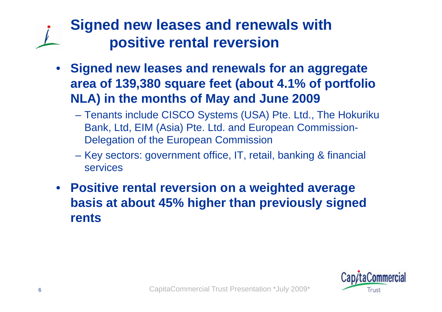### **Signed new leases and renewals with positive rental reversion**

- **Signed new leases and renewals for an aggregate**  area of 139,380 square feet (about 4.1% of portfolio **NLA) in the months of May and June 2009**
	- Tenants include CISCO Systems (USA) Pte. Ltd., The Hokuriku Bank, Ltd, EIM (Asia) Pte. Ltd. and European Commission-Delegation of the European Commission
	- Key sectors: government office, IT, retail, banking & financial services
- **Positive rental reversion on <sup>a</sup> weighted average basis at about 45% higher than previously signed rents**

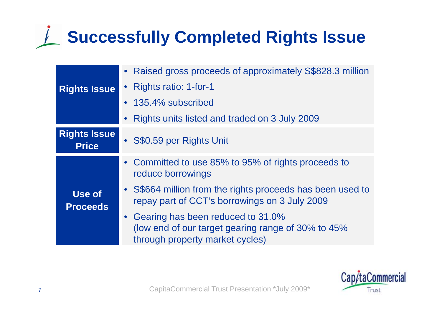# **Successfully Completed Rights Issue**

|                                     | • Raised gross proceeds of approximately S\$828.3 million                                                                     |  |  |  |  |
|-------------------------------------|-------------------------------------------------------------------------------------------------------------------------------|--|--|--|--|
| <b>Rights Issue</b>                 | • Rights ratio: 1-for-1                                                                                                       |  |  |  |  |
|                                     | • 135.4% subscribed                                                                                                           |  |  |  |  |
|                                     | Rights units listed and traded on 3 July 2009<br>$\bullet$                                                                    |  |  |  |  |
| <b>Rights Issue</b><br><b>Price</b> | • S\$0.59 per Rights Unit                                                                                                     |  |  |  |  |
|                                     | • Committed to use 85% to 95% of rights proceeds to<br>reduce borrowings                                                      |  |  |  |  |
| Use of<br><b>Proceeds</b>           | • S\$664 million from the rights proceeds has been used to<br>repay part of CCT's borrowings on 3 July 2009                   |  |  |  |  |
|                                     | • Gearing has been reduced to 31.0%<br>(low end of our target gearing range of 30% to 45%)<br>through property market cycles) |  |  |  |  |

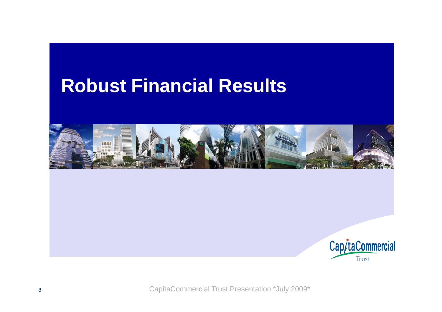## **Robust Financial Results**



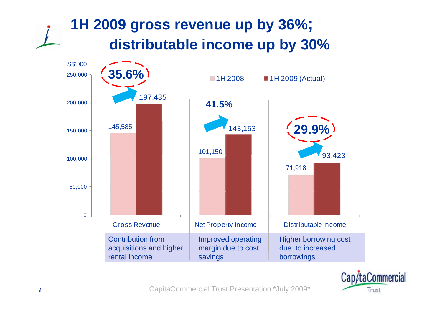## **1H 2009 gross revenue up by 36%; distributable income u py % b y 30 %**



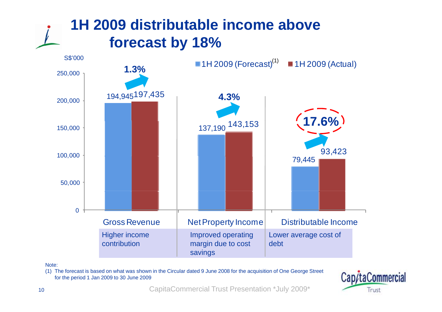### **1H 2009 distributable income aboveforecast b y 18%**



Note:

(1) The forecast is based on what was shown in the Circular dated 9 June 2008 for the acquisition of One George Street for the period 1 Jan 2009 to 30 June 2009

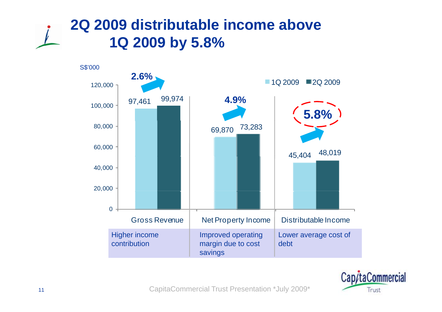



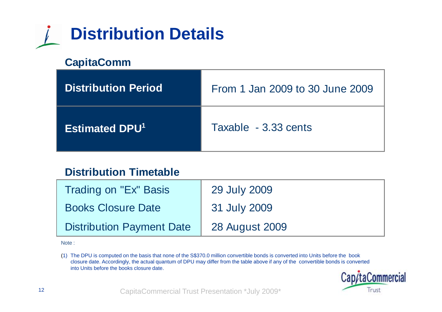

#### **CapitaComm**

| <b>Distribution Period</b>       | From 1 Jan 2009 to 30 June 2009 |
|----------------------------------|---------------------------------|
| <b>Estimated DPU<sup>1</sup></b> | Taxable - 3.33 cents            |

#### **Distribution Timetable**

| Trading on "Ex" Basis            | 29 July 2009   |
|----------------------------------|----------------|
| <b>Books Closure Date</b>        | 31 July 2009   |
| <b>Distribution Payment Date</b> | 28 August 2009 |

Note :

(1) The DPU is computed on the basis that none of the S\$370.0 million convertible bonds is converted into Units before the book closure date. Accordingly, the actual quantum of DPU may differ from the table above if any of the  $\,$  convertible bonds is converted  $\,$ into Units before the books closure date.

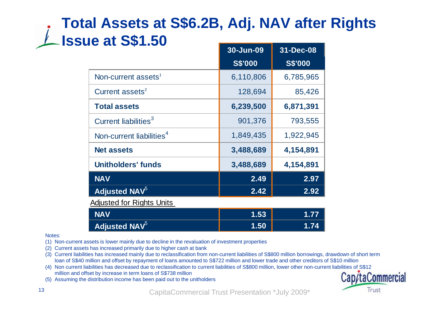### **Total Assets at S\$6.2B, Adj. NAV after Rights 1ssue at S\$1.50**

|                                      | 30-Jun-09                                    | 31-Dec-08                |
|--------------------------------------|----------------------------------------------|--------------------------|
|                                      | <b>S\$'000</b>                               | <b>S\$'000</b>           |
| Non-current assets <sup>1</sup>      | 6,110,806                                    | 6,785,965                |
| Current assets <sup>2</sup>          | 128,694                                      | 85,426                   |
| <b>Total assets</b>                  | 6,239,500                                    | 6,871,391                |
| Current liabilities <sup>3</sup>     | 901,376                                      | 793,555                  |
| Non-current liabilities <sup>4</sup> | 1,849,435                                    | 1,922,945                |
| <b>Net assets</b>                    | 3,488,689                                    | 4,154,891                |
| <b>Unitholders' funds</b>            | 3,488,689                                    | 4,154,891                |
| <b>NAV</b>                           | 2.49                                         | 2.97                     |
| <b>Adjusted NAV</b> <sup>5</sup>     | 2.42                                         | 2.92                     |
| <b>Adjusted for Rights Units</b>     |                                              |                          |
| .                                    | $\overline{1}$ $\overline{1}$ $\overline{2}$ | $\overline{\phantom{a}}$ |

| <b>NAV</b>       | 1.53 |     |
|------------------|------|-----|
| Adjusted NAV $5$ | 1.50 | .74 |

Notes:

- (1) Non-current assets is lower mainly due to decline in the revaluation of investment properties
- (2) Current assets has increased primarily due to higher cash at bank
- (3) Current liabilities has increased mainly due to reclassification from non-current liabilities of S\$800 million borrowings, drawdown of short term loan of S\$40 million and offset by repayment of loans amounted to S\$722 million and lower trade and other creditors of S\$10 million
- (4) Non current liabilities has decreased due to reclassification to current liabilities of S\$800 million, lower other non-current liabilities of S\$12 million and offset by increase in term loans of S\$738 million
- (5) Assuming the distribution income has been paid out to the unitholders

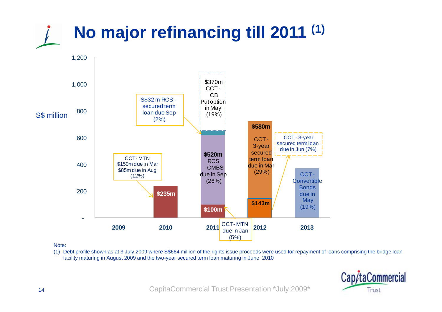

#### Note:

(1) Debt profile shown as at 3 July 2009 where S\$664 million of the rights issue proceeds were used for repayment of loans comprising the bridge loan facility maturing in August 2009 and the two-year secured term loan maturing in June 2010

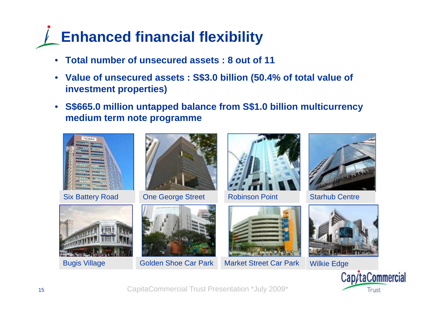# **Enhanced financial flexibility**

- $\bullet$ **Total number of unsecured assets : 8 out of 11**
- **Value of unsecured assets : S\$3.0 billion (50.4% of total value of investment properties)**
- **S\$665.0 million untapped balance from S\$1.0 billion multicurrency medium term note programme**



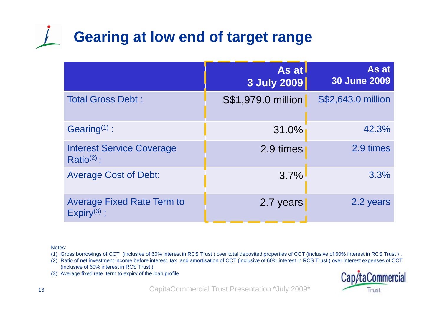# **Gearing at low end of target range**

|                                                       | As at<br>3 July 2009 | As at<br><b>30 June 2009</b> |
|-------------------------------------------------------|----------------------|------------------------------|
| <b>Total Gross Debt:</b>                              | S\$1,979.0 million   | S\$2,643.0 million           |
| Gearing $(1)$ :                                       | 31.0%                | 42.3%                        |
| <b>Interest Service Coverage</b><br>$Ratio(2)$ :      | 2.9 times            | 2.9 times                    |
| <b>Average Cost of Debt:</b>                          | 3.7%                 | 3.3%                         |
| <b>Average Fixed Rate Term to</b><br>$Expiry^{(3)}$ : | 2.7 years            | 2.2 years                    |

Notes:

(1) Gross borrowings of CCT (inclusive of 60% interest in RCS Trust ) over total deposited properties of CCT (inclusive of 60% interest in RCS Trust ) .

- (2) Ratio of net investment income before interest, tax and amortisation of CCT (inclusive of 60% interest in RCS Trust ) over interest expenses of CCT (inclusive of 60% interest in RCS Trust )
- (3) Average fixed rate term to expiry of the loan profile

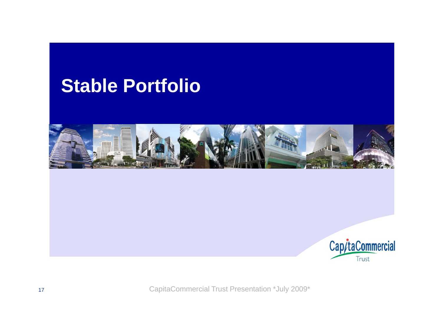## **Stable Portfolio**



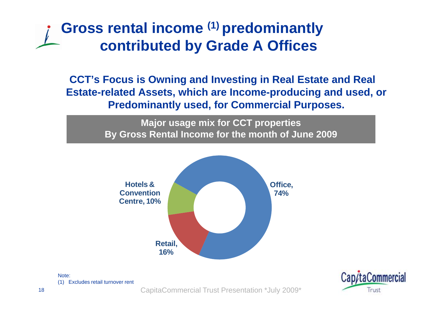### **Gross rental income (1) predominantly contributed by Grade A Offices**

**CCT's Focus is Owning and Investing in Real Estate and Real Estate-related Assets, which are Income-producing and used, or Predominantly used, for Commercial Purposes.**

> **M j i f CCT ti ajor usage mix for CCT properties By Gross Rental Income for the month of June 2009**



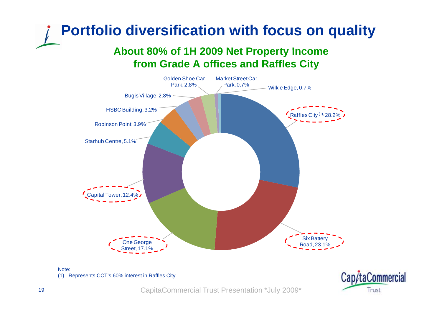## **Portfolio diversification with focus on quality**

#### **About 80% of 1H 2009 Net Property Income 1H from Grade A offices and Raffles City**



#### Note:(1) Represents CCT's 60% interest in Raffles City

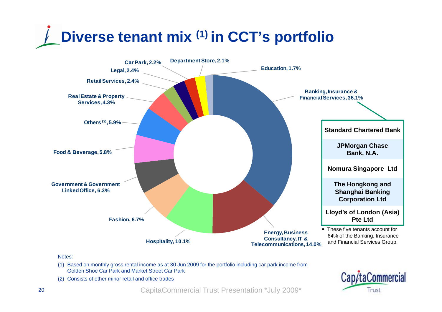



#### Notes:

- (1) Based on monthly gross rental income as at 30 Jun 2009 for the portfolio including car park income from Golden Shoe Car Park and Market Street Car Park
- (2) Consists of other minor retail and office trades

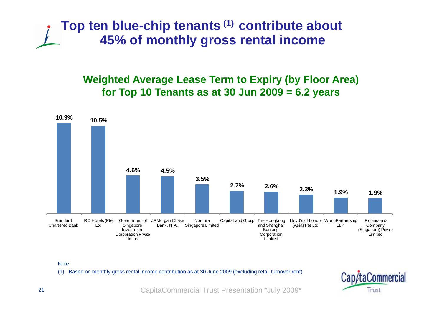

#### **Weighted Average Lease Term to Expiry (by Floor Area) for Top 10 Tenants as at 30 Jun 2009 = 6.2 years**



Note:

(1) Based on monthly gross rental income contribution as at 30 June 2009 (excluding retail turnover rent)

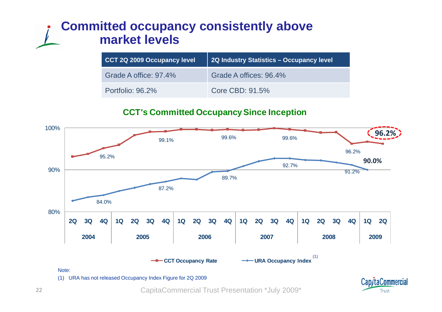### **Committed occupancy consistently above market levels**

| CCT 2Q 2009 Occupancy level | 2Q Industry Statistics - Occupancy level |
|-----------------------------|------------------------------------------|
| Grade A office: 97.4%       | Grade A offices: 96.4%                   |
| Portfolio: 96.2%            | Core CBD: 91.5%                          |

#### **CCT's Committed Occupancy Since Inception**



CapitaCommercial Trust Presentation \*July 2009\*

Trust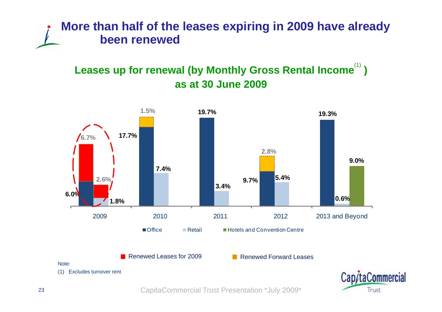### **More than half of the leases expiring in 2009 have already been renewed**

### Leases up for renewal (by Monthly Gross Rental Income<sup>(1)</sup>) **as at 30 June 2009 June**



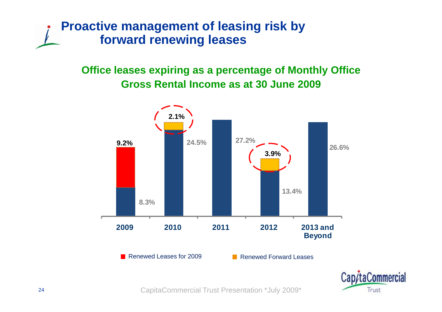### **Proactive management of leasing risk by forward renewing leases**

# **Office leases expiring as a percentage of Monthly Office**



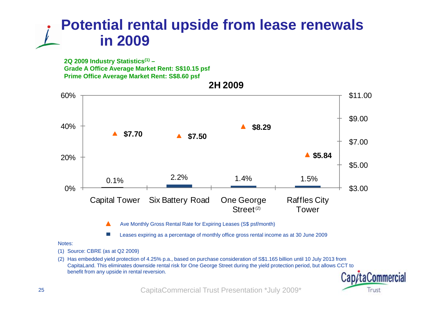### **Potential rental upside from lease renewals in 2009**

**2Q 2009 Industry Statistics(1) – Grade A Office Average Market Rent: S\$10.15 psf Prime Office Average Market Rent: S\$8.60 psf**



#### Notes:

- (1) Source: CBRE (as at Q2 2009)
- (2) Has embedded yield protection of 4.25% p.a., based on purchase consideration of S\$1.165 billion until 10 July 2013 from CapitaLand. This eliminates downside rental risk for One George Street during the yield protection period, but allows CCT to benefit from any upside in rental reversion.

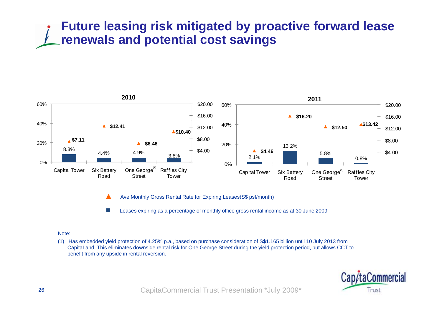### **Future leasing risk mitigated by proactive forward lease renewals and potential cost savings**



Ave Monthly Gross Rental Rate for Expiring Leases(S\$ psf/month) ▲

Leases expiring as a percentage of monthly office gross rental income as at 30 June 2009  $\sim$ 

#### Note:

(1) Has embedded yield protection of 4.25% p.a., based on purchase consideration of S\$1.165 billion until 10 July 2013 from CapitaLand. This eliminates downside rental risk for One George Street during the yield protection period, but allows CCT to benefit from any upside in rental reversion.

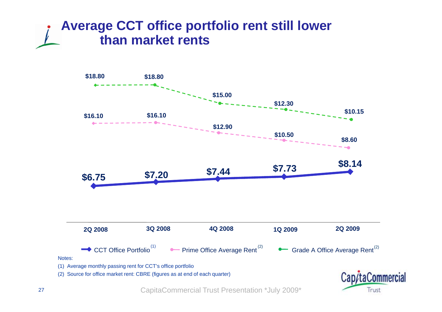### **Average CCT office portfolio rent still lower than market rents**



CapitaCommercial Trust Presentation \*July 2009\*

Trust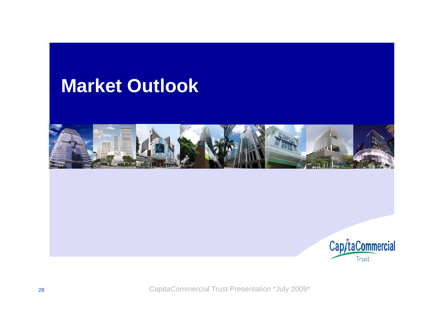## **Market Outlook**



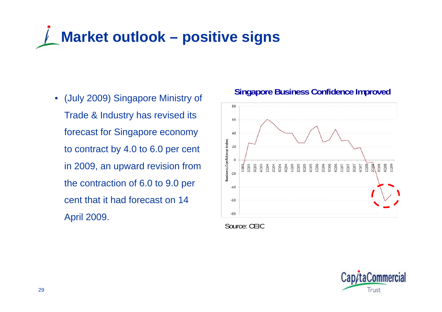# **Market outlook – positive signs**

 (July 2009) Singapore Ministry of Trade & Industry has revised its forecast for Singapore economy to contract by 4.0 to 6.0 per cent in 2009, an upward revision from the contraction of 6.0 to 9.0 per cent that it had forecast on 14 April 2009.

#### **Singapore Business Confidence Improved** •



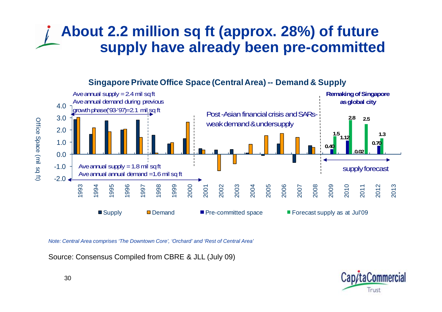### **About 2.2 million sq ft (approx. 28%) of future supply have already been pre -committed committed**



**Singapore Private Office Space (Central Area) -- Demand & Supply**

*Note: Central Area comprises 'The Downtown Core', 'Orchard' and 'Rest of Central Area'*

Source: Consensus Compiled from CBRE & JLL (July 09)

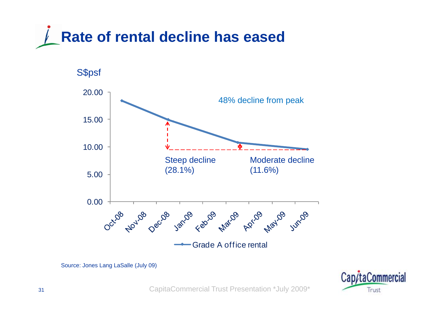



Source: Jones Lang LaSalle (July 09)

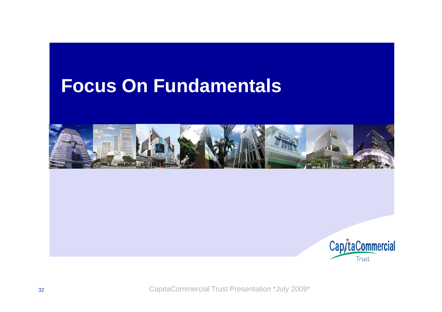## **Focus On Fundamentals**



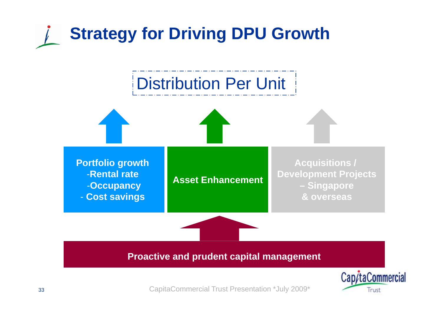



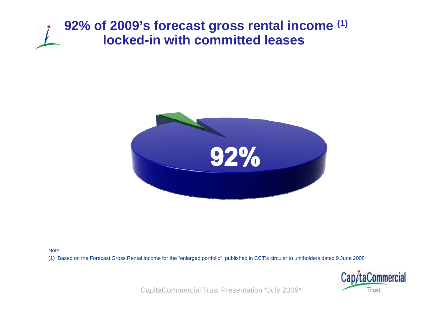### **92% of 2009's forecast gross rental income (1) locked-in with committed leases**



Note:

(1) Based on the Forecast Gross Rental Income for the "enlarged portfolio", published in CCT's circular to unitholders dated 9 June 2008

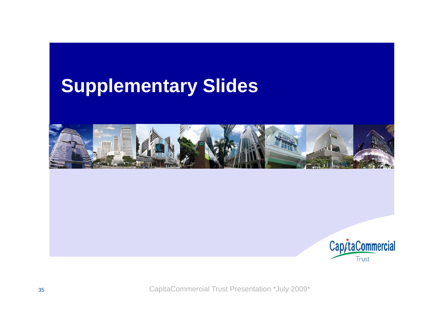## **Supplementary Slides**



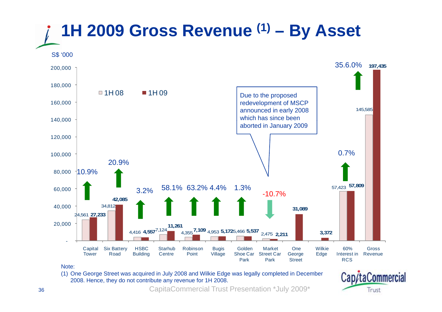

(1) One George Street was acquired in July 2008 and Wilkie Edge was legally completed in December 2008. Hence, they do not contribute any revenue for 1H 2008.

CapitaCommercial Trust Presentation \*July 2009\*

Cap/taCommercial

Trust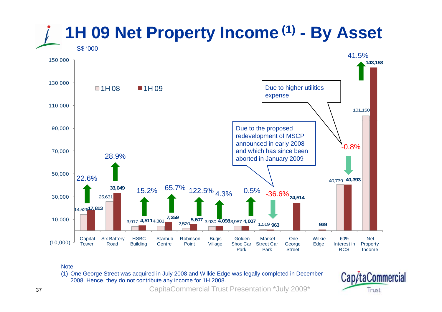

#### Note:

(1) One George Street was acquired in July 2008 and Wilkie Edge was legally completed in December 2008. Hence, they do not contribute any income for 1H 2008.

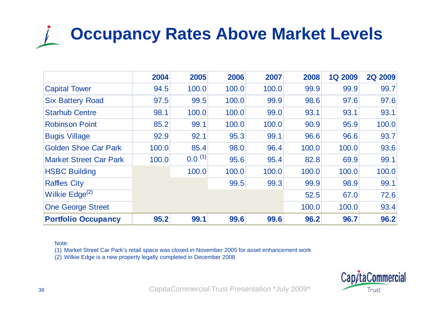# **Occupancy Rates Above Market Levels**

|                               | 2004  | 2005        | 2006  | 2007  | 2008  | <b>1Q 2009</b> | <b>2Q 2009</b> |
|-------------------------------|-------|-------------|-------|-------|-------|----------------|----------------|
| <b>Capital Tower</b>          | 94.5  | 100.0       | 100.0 | 100.0 | 99.9  | 99.9           | 99.7           |
| <b>Six Battery Road</b>       | 97.5  | 99.5        | 100.0 | 99.9  | 98.6  | 97.6           | 97.6           |
| <b>Starhub Centre</b>         | 98.1  | 100.0       | 100.0 | 99.0  | 93.1  | 93.1           | 93.1           |
| <b>Robinson Point</b>         | 85.2  | 99.1        | 100.0 | 100.0 | 90.9  | 95.9           | 100.0          |
| <b>Bugis Village</b>          | 92.9  | 92.1        | 95.3  | 99.1  | 96.6  | 96.6           | 93.7           |
| <b>Golden Shoe Car Park</b>   | 100.0 | 85.4        | 98.0  | 96.4  | 100.0 | 100.0          | 93.6           |
| <b>Market Street Car Park</b> | 100.0 | $0.0^{(1)}$ | 95.6  | 95.4  | 82.8  | 69.9           | 99.1           |
| <b>HSBC Building</b>          |       | 100.0       | 100.0 | 100.0 | 100.0 | 100.0          | 100.0          |
| <b>Raffles City</b>           |       |             | 99.5  | 99.3  | 99.9  | 98.9           | 99.1           |
| Wilkie Edge <sup>(2)</sup>    |       |             |       |       | 52.5  | 67.0           | 72.6           |
| <b>One George Street</b>      |       |             |       |       | 100.0 | 100.0          | 93.4           |
| <b>Portfolio Occupancy</b>    | 95.2  | 99.1        | 99.6  | 99.6  | 96.2  | 96.7           | 96.2           |

#### Note:

(1) Market Street Car Park's retail space was closed in November 2005 for asset enhancement work

(2) Wilkie Edge is a new property legally completed in December 2008

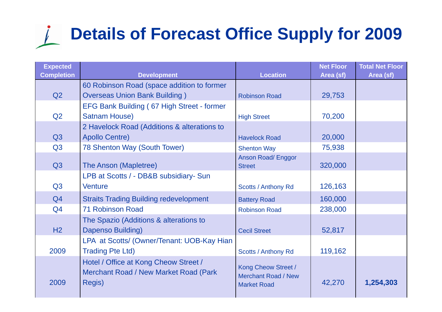### **Details of Forecast Office Supply for 2009**  $\sqrt{ }$

| <b>Expected</b>   |                                                                                          | <b>Location</b>                                                         | <b>Net Floor</b> | <b>Total Net Floor</b> |
|-------------------|------------------------------------------------------------------------------------------|-------------------------------------------------------------------------|------------------|------------------------|
| <b>Completion</b> | <b>Development</b>                                                                       |                                                                         | Area (sf)        | Area (sf)              |
| Q2                | 60 Robinson Road (space addition to former<br><b>Overseas Union Bank Building)</b>       | <b>Robinson Road</b>                                                    | 29,753           |                        |
|                   | EFG Bank Building (67 High Street - former                                               |                                                                         |                  |                        |
| Q2                | <b>Satnam House)</b>                                                                     | <b>High Street</b>                                                      | 70,200           |                        |
|                   | 2 Havelock Road (Additions & alterations to                                              |                                                                         |                  |                        |
| Q3                | <b>Apollo Centre)</b>                                                                    | <b>Havelock Road</b>                                                    | 20,000           |                        |
| Q <sub>3</sub>    | 78 Shenton Way (South Tower)                                                             | <b>Shenton Way</b>                                                      | 75,938           |                        |
|                   |                                                                                          | <b>Anson Road/Enggor</b>                                                |                  |                        |
| Q <sub>3</sub>    | The Anson (Mapletree)                                                                    | <b>Street</b>                                                           | 320,000          |                        |
|                   | LPB at Scotts / - DB&B subsidiary- Sun                                                   |                                                                         |                  |                        |
| Q <sub>3</sub>    | <b>Venture</b>                                                                           | <b>Scotts / Anthony Rd</b>                                              | 126,163          |                        |
| Q4                | <b>Straits Trading Building redevelopment</b>                                            | <b>Battery Road</b>                                                     | 160,000          |                        |
| Q4                | <b>71 Robinson Road</b>                                                                  | <b>Robinson Road</b>                                                    | 238,000          |                        |
|                   | The Spazio (Additions & alterations to                                                   |                                                                         |                  |                        |
| H2                | Dapenso Building)                                                                        | <b>Cecil Street</b>                                                     | 52,817           |                        |
|                   | LPA at Scotts/ (Owner/Tenant: UOB-Kay Hian                                               |                                                                         |                  |                        |
| 2009              | <b>Trading Pte Ltd)</b>                                                                  | <b>Scotts / Anthony Rd</b>                                              | 119,162          |                        |
| 2009              | Hotel / Office at Kong Cheow Street /<br>Merchant Road / New Market Road (Park<br>Regis) | Kong Cheow Street /<br><b>Merchant Road / New</b><br><b>Market Road</b> | 42,270           | 1,254,303              |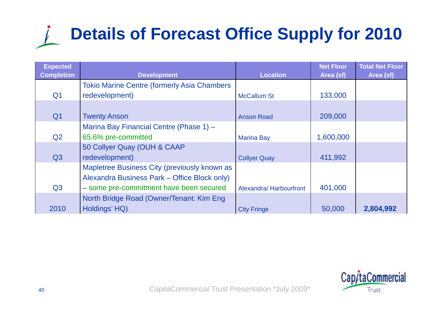# **Details of Forecast Office Supply for 2010**

| <b>Expected</b><br><b>Completion</b> | <b>Development</b>                                                                           | <b>Location</b>        | <b>Net Floor</b><br>Area (sf) | <b>Total Net Floor</b><br>Area (sf) |
|--------------------------------------|----------------------------------------------------------------------------------------------|------------------------|-------------------------------|-------------------------------------|
|                                      | <b>Tokio Marine Centre (formerly Asia Chambers</b>                                           |                        |                               |                                     |
| Q <sub>1</sub>                       | redevelopment)                                                                               | <b>McCallum St</b>     | 133,000                       |                                     |
| Q <sub>1</sub>                       | <b>Twenty Anson</b>                                                                          | <b>Anson Road</b>      | 209,000                       |                                     |
|                                      | Marina Bay Financial Centre (Phase 1) -                                                      |                        |                               |                                     |
| Q2                                   | 65.6% pre-committed                                                                          | <b>Marina Bay</b>      | 1,600,000                     |                                     |
|                                      | 50 Collyer Quay (OUH & CAAP                                                                  |                        |                               |                                     |
| Q3                                   | redevelopment)                                                                               | <b>Collyer Quay</b>    | 411,992                       |                                     |
|                                      | Mapletree Business City (previously known as<br>Alexandra Business Park – Office Block only) |                        |                               |                                     |
| Q <sub>3</sub>                       | - some pre-commitment have been secured                                                      | Alexandra/Harbourfront | 401,000                       |                                     |
|                                      | North Bridge Road (Owner/Tenant: Kim Eng                                                     |                        |                               |                                     |
| 2010                                 | Holdings' HQ)                                                                                | <b>City Fringe</b>     | 50,000                        | 2,804,992                           |

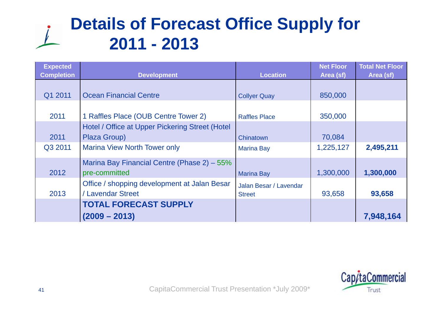## **Details of Forecast Office Supply for 2011 - 2 0 31 3**

| <b>Expected</b><br><b>Completion</b> | <b>Development</b>                                                | <b>Location</b>                         | <b>Net Floor</b><br>Area (sf) | <b>Total Net Floor</b><br>Area (sf) |
|--------------------------------------|-------------------------------------------------------------------|-----------------------------------------|-------------------------------|-------------------------------------|
| Q1 2011                              | <b>Ocean Financial Centre</b>                                     | <b>Collyer Quay</b>                     | 850,000                       |                                     |
| 2011                                 | 1 Raffles Place (OUB Centre Tower 2)                              | <b>Raffles Place</b>                    | 350,000                       |                                     |
| 2011                                 | Hotel / Office at Upper Pickering Street (Hotel<br>Plaza Group)   | Chinatown                               | 70,084                        |                                     |
| Q3 2011                              | <b>Marina View North Tower only</b>                               | <b>Marina Bay</b>                       | 1,225,127                     | 2,495,211                           |
| 2012                                 | Marina Bay Financial Centre (Phase 2) – 55%<br>pre-committed      | <b>Marina Bay</b>                       | 1,300,000                     | 1,300,000                           |
| 2013                                 | Office / shopping development at Jalan Besar<br>/ Lavendar Street | Jalan Besar / Lavendar<br><b>Street</b> | 93,658                        | 93,658                              |
|                                      | <b>TOTAL FORECAST SUPPLY</b><br>$(2009 - 2013)$                   |                                         |                               | 7,948,164                           |